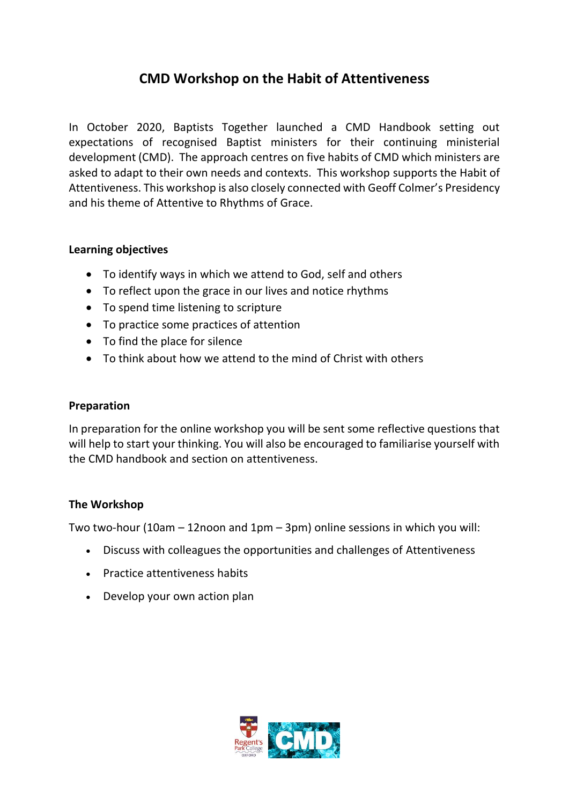# **CMD Workshop on the Habit of Attentiveness**

In October 2020, Baptists Together launched a CMD Handbook setting out expectations of recognised Baptist ministers for their continuing ministerial development (CMD). The approach centres on five habits of CMD which ministers are asked to adapt to their own needs and contexts. This workshop supports the Habit of Attentiveness. This workshop is also closely connected with Geoff Colmer's Presidency and his theme of Attentive to Rhythms of Grace.

#### **Learning objectives**

- To identify ways in which we attend to God, self and others
- To reflect upon the grace in our lives and notice rhythms
- To spend time listening to scripture
- To practice some practices of attention
- To find the place for silence
- To think about how we attend to the mind of Christ with others

#### **Preparation**

In preparation for the online workshop you will be sent some reflective questions that will help to start your thinking. You will also be encouraged to familiarise yourself with the CMD handbook and section on attentiveness.

## **The Workshop**

Two two-hour (10am – 12noon and 1pm – 3pm) online sessions in which you will:

- Discuss with colleagues the opportunities and challenges of Attentiveness
- Practice attentiveness habits
- Develop your own action plan